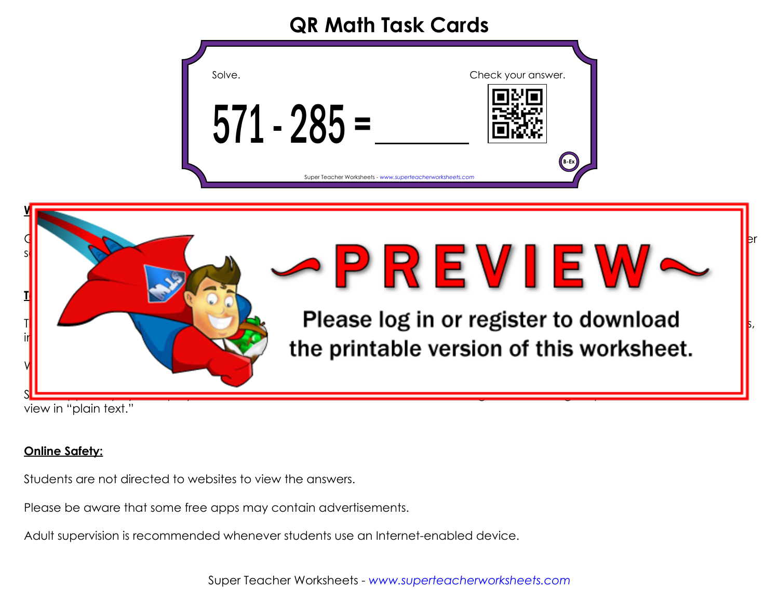## **QR Math Task Cards**

| Solve.                                                    | Check your answer. |
|-----------------------------------------------------------|--------------------|
| $571 - 285 =$                                             | B-Ex               |
| Super Teacher Worksheets - www.superteacherworksheets.com |                    |



view in "plain text."

### **Online Safety:**

Students are not directed to websites to view the answers.

Please be aware that some free apps may contain advertisements.

Adult supervision is recommended whenever students use an Internet-enabled device.

Super Teacher Worksheets - *www.superteacherworksheets.com*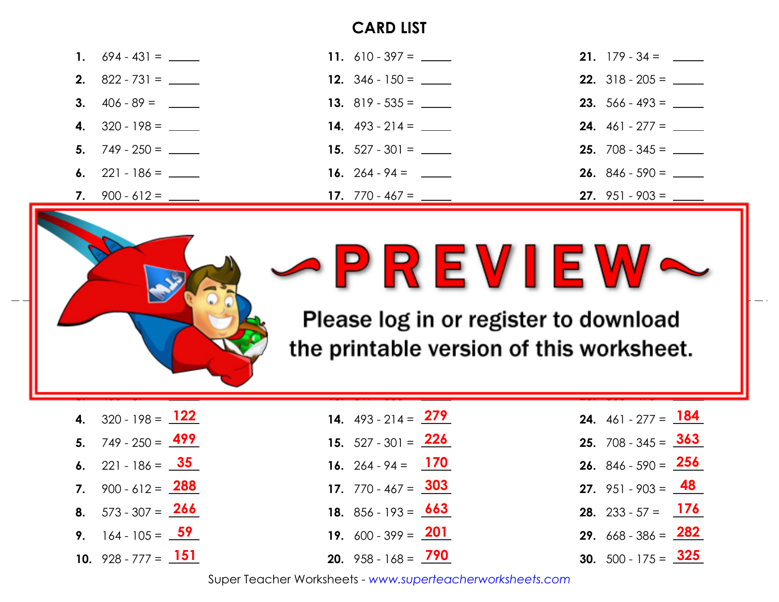## **CARD LIST**

| 1. $694 - 431 =$ _______          | 11. $610 - 397 =$ _______         | <b>21.</b> $179 - 34 =$ ________             |
|-----------------------------------|-----------------------------------|----------------------------------------------|
| <b>2.</b> $822 - 731 =$ ________  | <b>12.</b> $346 - 150 =$ _______  | <b>22.</b> $318 - 205 =$ ________            |
|                                   | <b>13.</b> $819 - 535 =$ _______  | <b>23.</b> $566 - 493 =$ ________            |
| <b>4.</b> $320 - 198 =$ _________ | <b>14.</b> $493 - 214 =$ ________ | <b>24.</b> 461 - 277 = _____                 |
|                                   | <b>15.</b> $527 - 301 =$ ________ | <b>25.</b> $708 - 345 =$ ________            |
| 6. 221 - 186 = $\frac{ }{ }$      | <b>16.</b> $264 - 94 =$ ________  | <b>26.</b> 846 - 590 = $\_\_\_\_\_\_\_\_\_\$ |
| <b>7.</b> $900 - 612 =$ ________  | <b>17.</b> $770 - 467 =$ _______  | <b>27.</b> $951 - 903 =$ ________            |





**printable version of this worksheet.** Please log in or register to download

| <b>4.</b> $320 - 198 = \textcolor{red}{\overline{122}}$ | 14. $493 - 214 = 279$             | <b>24.</b> 461 - 277 = <b>184</b>        |
|---------------------------------------------------------|-----------------------------------|------------------------------------------|
| 5. $749 - 250 = 499$                                    | <b>15.</b> $527 - 301 = 226$      | 25. $708 - 345 = 363$                    |
| 6. 221 - 186 = $\frac{35}{1}$                           | <b>16.</b> 264 - 94 = <b>170</b>  | <b>26.</b> 846 - 590 = $\frac{256}{100}$ |
| <b>7.</b> $900 - 612 = 288$                             | <b>17.</b> $770 - 467 = 303$      | <b>27.</b> 951 - 903 = $\frac{48}{1}$    |
| <b>8.</b> $573 - 307 = 266$                             | <b>18.</b> 856 - 193 = 663        | <b>28.</b> 233 - 57 = $176$              |
| <b>9.</b> $164 - 105 = 59$                              | 19. $600 - 399 = 201$             | <b>29.</b> $668 - 386 = 282$             |
| <b>10.</b> $928 - 777 = 151$                            | <b>20.</b> 958 - 168 = <b>790</b> | <b>30.</b> 500 - 175 = $\frac{325}{ }$   |

Super Teacher Worksheets - *www.superteacherworksheets.com*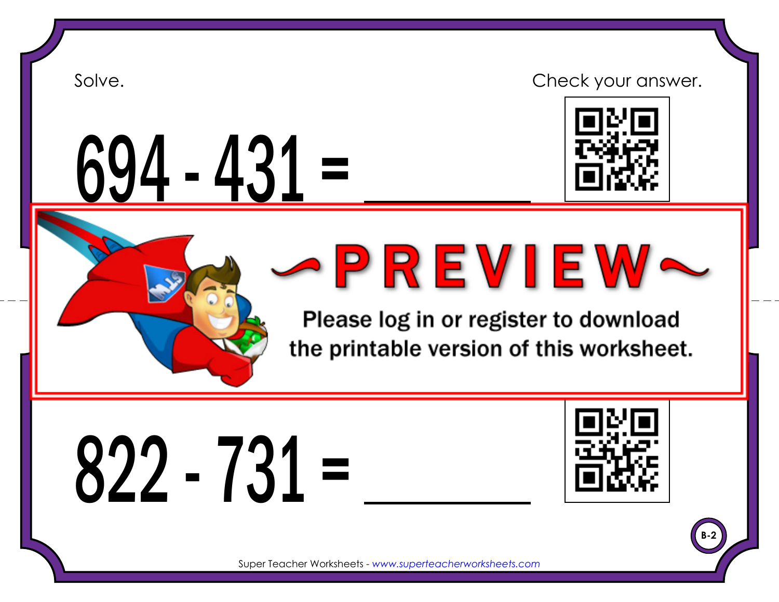694 - 431 =

Solve. Solve and the contract of the check your answer.



Super Teacher Worksheets - *www.superteacherworksheets.com*

Please log in or register to download the printable version of this worksheet.

822 - 731 =



**B-2**

Super Teacher Worksheets - *www.superteacherworksheets.com*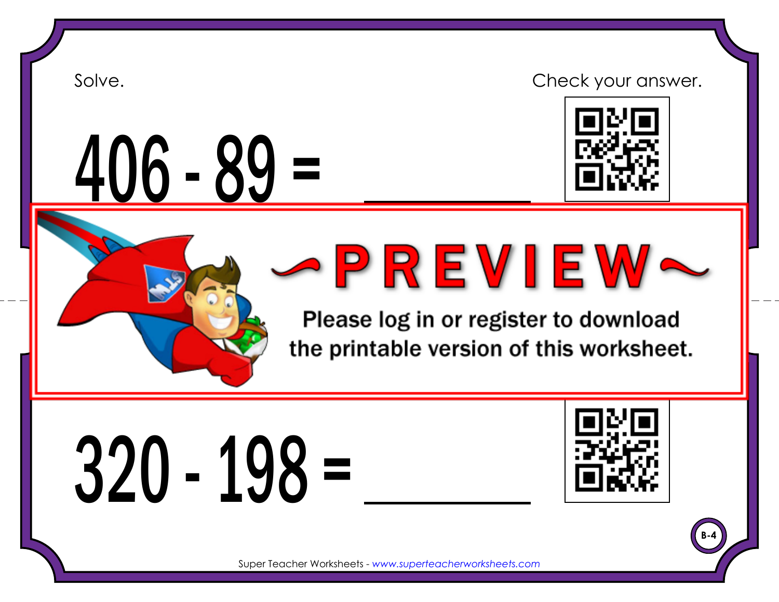

## 406 - 89 =



Please log in or register to download the printable version of this worksheet.

320 - 198 =



**B-4**

Super Teacher Worksheets - *www.superteacherworksheets.com*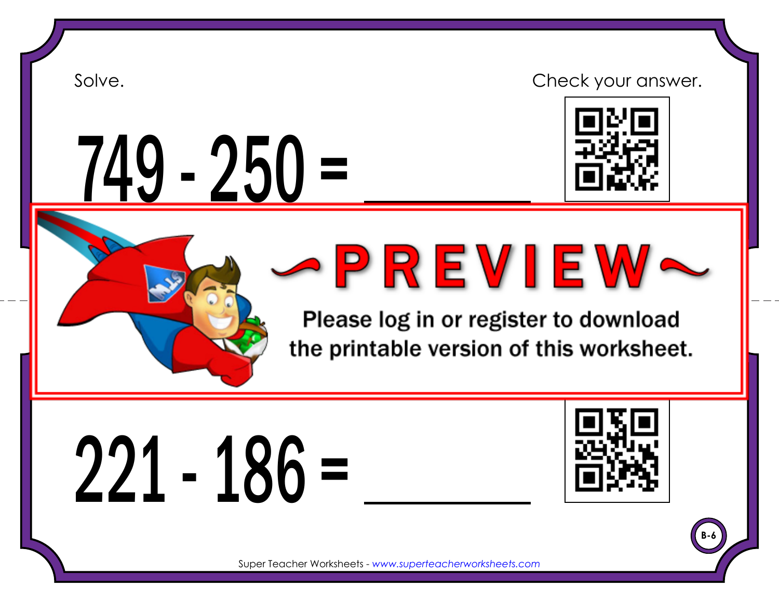# 749 - 250 =



Super Teacher Worksheets - *www.superteacherworksheets.com*

Please log in or register to download the printable version of this worksheet.

221 - 186 =



**B-6**

Super Teacher Worksheets - *www.superteacherworksheets.com*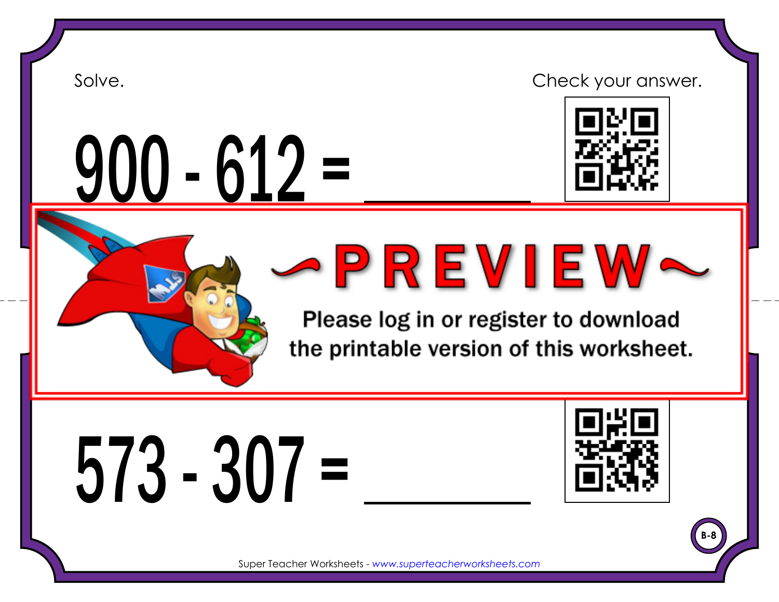900 - 612 =





Please log in or register to download the printable version of this worksheet.

573 - 307 =



**B-8**

Super Teacher Worksheets - *www.superteacherworksheets.com*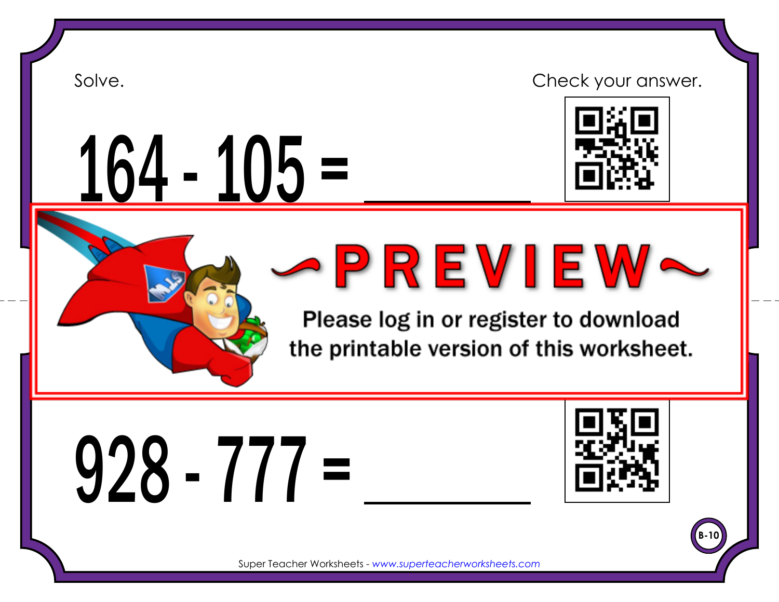164 - 105 =





Super Teacher Worksheets - *www.superteacherworksheets.com*

Please log in or register to download the printable version of this worksheet.

928 - 777 =



**B-10**

Super Teacher Worksheets - *www.superteacherworksheets.com*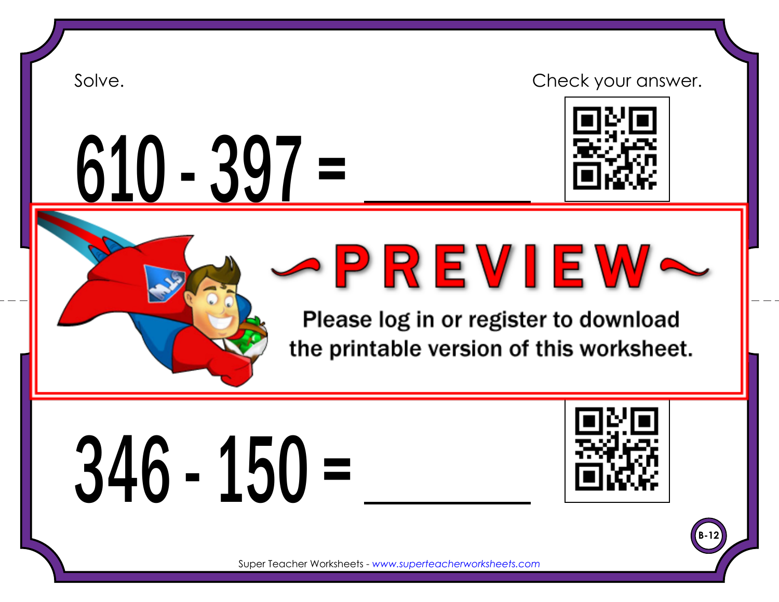## 610 - 397 =



Super Teacher Worksheets - *www.superteacherworksheets.com*

Please log in or register to download the printable version of this worksheet.

346 - 150 =



**B-12**

Super Teacher Worksheets - *www.superteacherworksheets.com*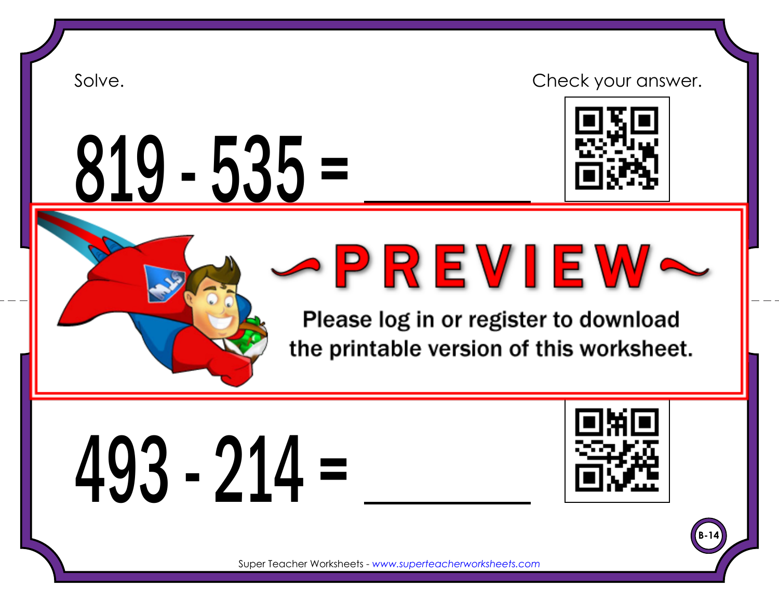





Please log in or register to download the printable version of this worksheet.

493 - 214 =



**B-14**

Super Teacher Worksheets - *www.superteacherworksheets.com*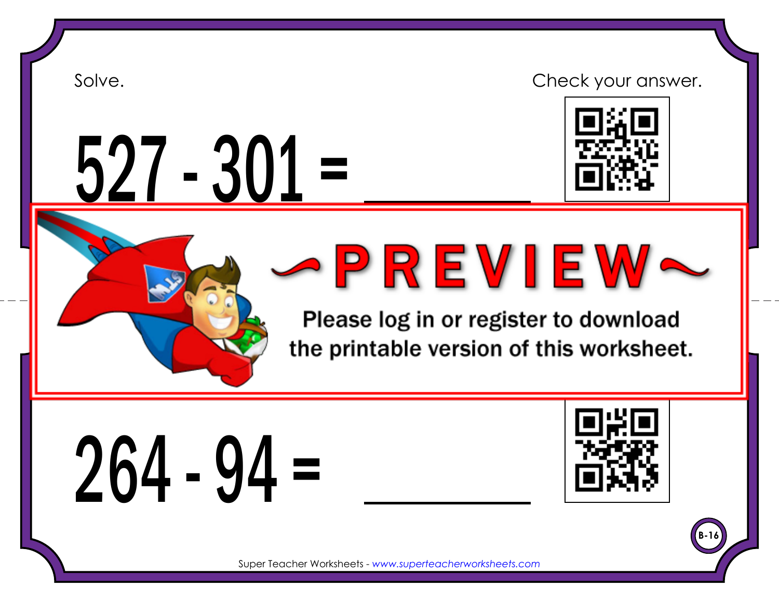

527 - 301 =



Please log in or register to download the printable version of this worksheet.

264 - 94 =



**B-16**

Super Teacher Worksheets - *www.superteacherworksheets.com*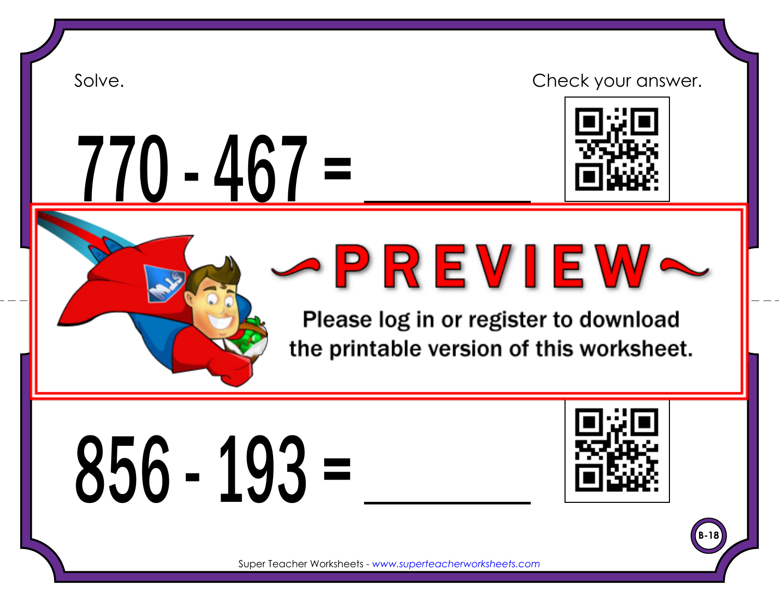770 - 467 =





Super Teacher Worksheets - *www.superteacherworksheets.com*

Please log in or register to download the printable version of this worksheet.

856 - 193 =



**B-18**

Super Teacher Worksheets - *www.superteacherworksheets.com*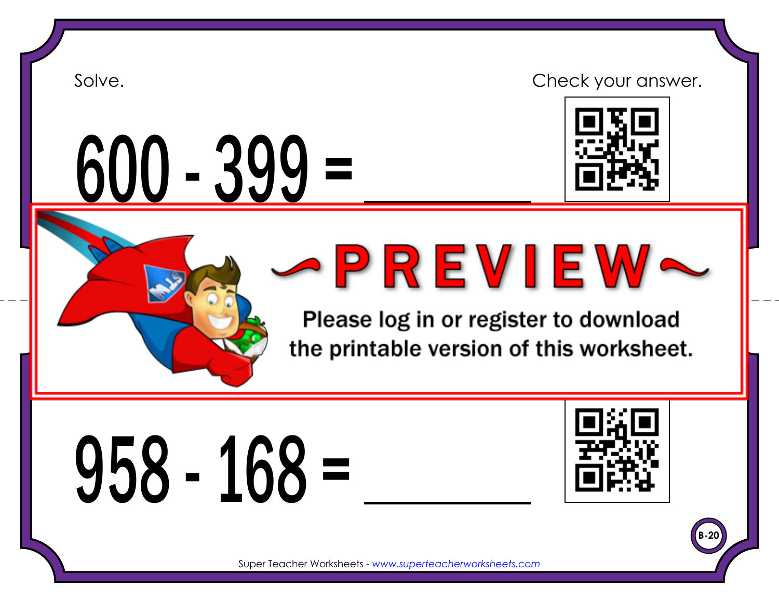600 - 399 =





Please log in or register to download the printable version of this worksheet.

958 - 168 =



**B-20**

Super Teacher Worksheets - *www.superteacherworksheets.com*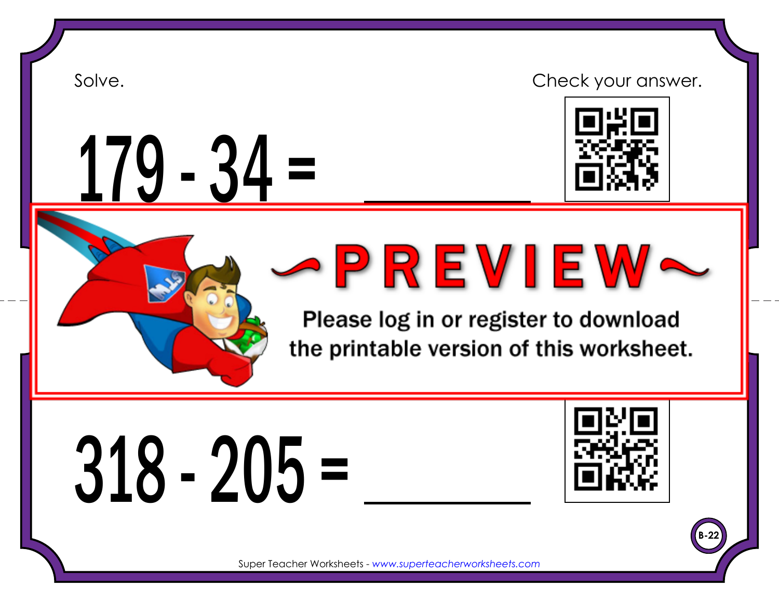

Super Teacher Worksheets - *www.superteacherworksheets.com*

Please log in or register to download the printable version of this worksheet.

318 - 205 =

179 - 34 =



**B-22**

Super Teacher Worksheets - *www.superteacherworksheets.com*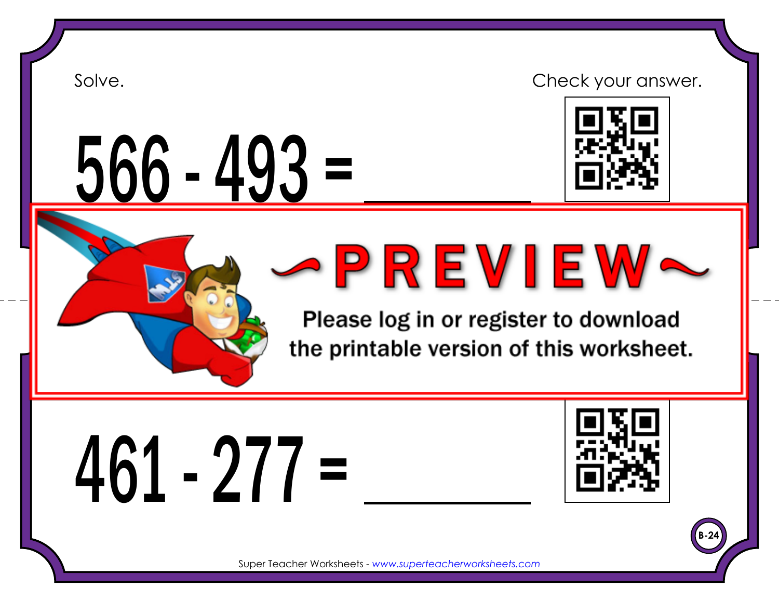566 - 493 =

Solve. Solve and the contract of the check your answer.



Super Teacher Worksheets - *www.superteacherworksheets.com*

Please log in or register to download the printable version of this worksheet.

461 - 277 =



**B-24**

Super Teacher Worksheets - *www.superteacherworksheets.com*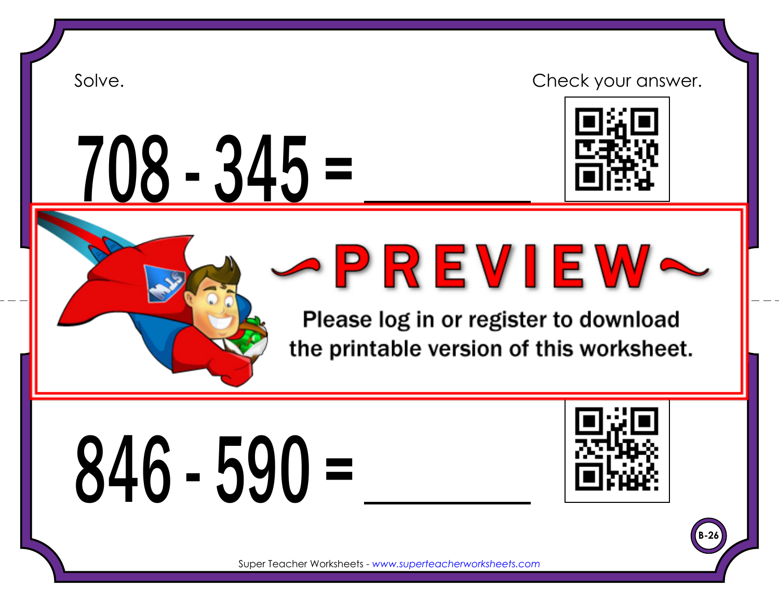708 - 345 =





Please log in or register to download the printable version of this worksheet.

846 - 590 =



**B-26**

Super Teacher Worksheets - *www.superteacherworksheets.com*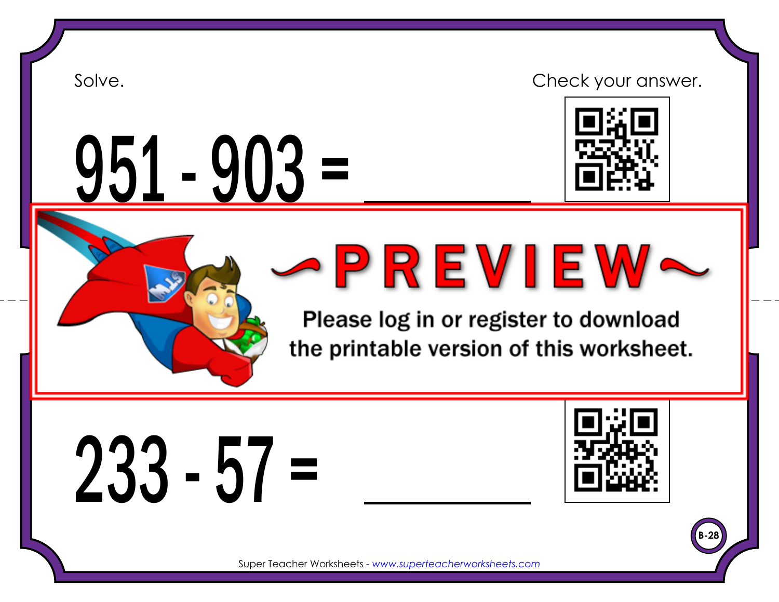951 - 903 =





Super Teacher Worksheets - *www.superteacherworksheets.com*

Please log in or register to download the printable version of this worksheet.

233 - 57 =



**B-28**

Super Teacher Worksheets - *www.superteacherworksheets.com*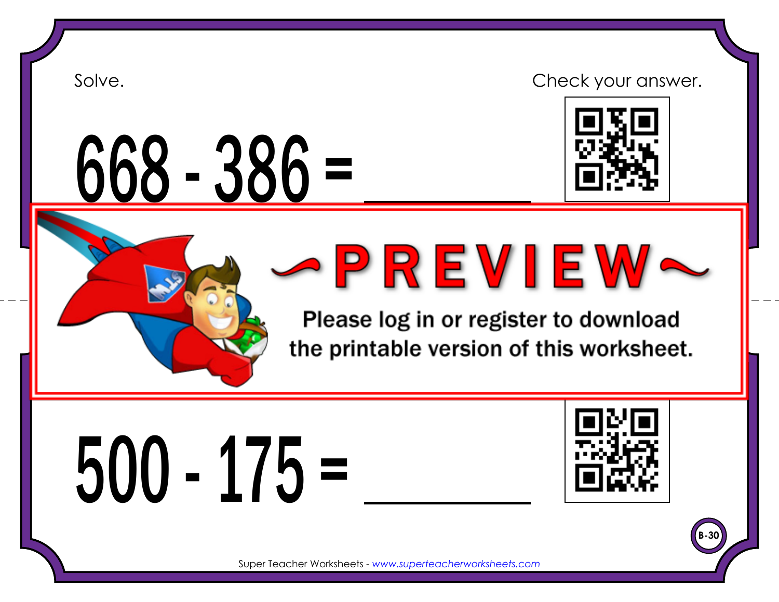668 - 386 =





Super Teacher Worksheets - *www.superteacherworksheets.com*

Please log in or register to download the printable version of this worksheet.

 $500 - 175 =$ 



**B-30**

Super Teacher Worksheets - *www.superteacherworksheets.com*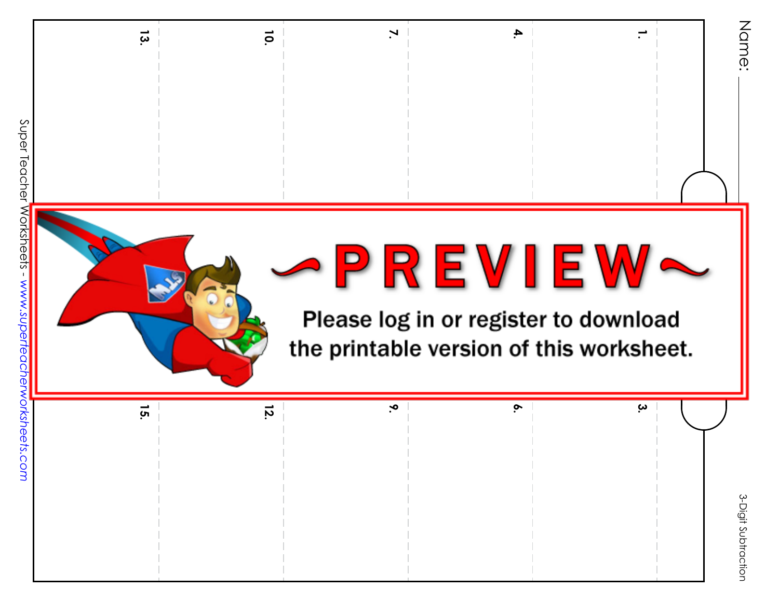